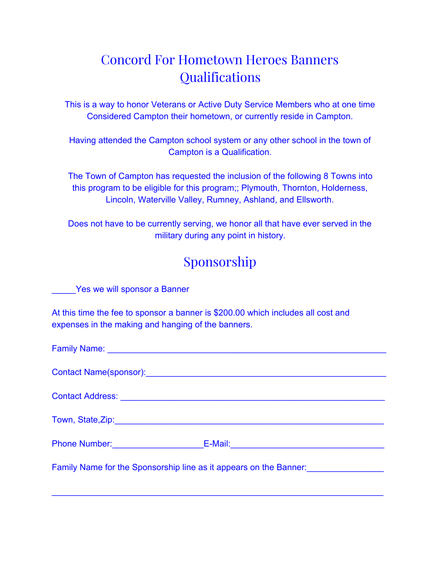## Concord For Hometown Heroes Banners **Qualifications**

This is a way to honor Veterans or Active Duty Service Members who at one time Considered Campton their hometown, or currently reside in Campton.

Having attended the Campton school system or any other school in the town of Campton is a Qualification.

The Town of Campton has requested the inclusion of the following 8 Towns into this program to be eligible for this program;; Plymouth, Thornton, Holderness, Lincoln, Waterville Valley, Rumney, Ashland, and Ellsworth.

Does not have to be currently serving, we honor all that have ever served in the military during any point in history.

## Sponsorship

Yes we will sponsor a Banner

At this time the fee to sponsor a banner is \$200.00 which includes all cost and expenses in the making and hanging of the banners.

| Phone Number: _____________________________E-Mail: ______________________________                                                             |
|-----------------------------------------------------------------------------------------------------------------------------------------------|
|                                                                                                                                               |
| Family Name for the Sponsorship line as it appears on the Banner:<br><u>Family Name for the Sponsorship line as it appears on the Banner:</u> |
|                                                                                                                                               |
|                                                                                                                                               |